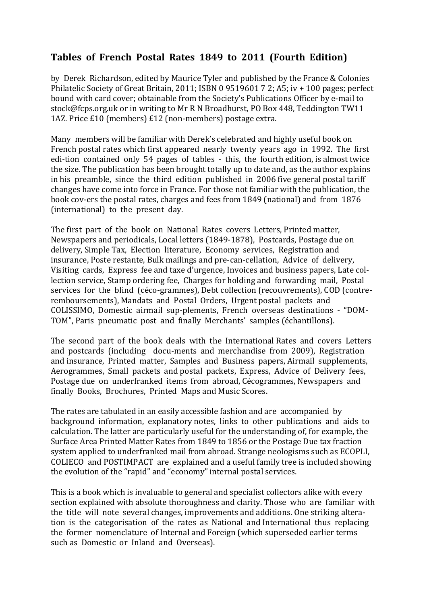## Tables of French Postal Rates 1849 to 2011 (Fourth Edition)

by Derek Richardson, edited by Maurice Tyler and published by the France & Colonies Philatelic Society of Great Britain, 2011; ISBN 0 9519601 7 2; A5; iv + 100 pages; perfect bound with card cover; obtainable from the Society's Publications Officer by e-mail to stock@fcps.org.uk or in writing to Mr R N Broadhurst, PO Box 448, Teddington TW11 1AZ. Price £10 (members) £12 (non-members) postage extra.

Many members will be familiar with Derek's celebrated and highly useful book on French postal rates which first appeared nearly twenty years ago in 1992. The first edi-tion contained only 54 pages of tables - this, the fourth edition, is almost twice the size. The publication has been brought totally up to date and, as the author explains in his preamble, since the third edition published in 2006 five general postal tariff changes have come into force in France. For those not familiar with the publication, the book cov-ers the postal rates, charges and fees from 1849 (national) and from 1876 (international) to the present day.

The first part of the book on National Rates covers Letters, Printed matter, Newspapers and periodicals, Local letters (1849-1878), Postcards, Postage due on delivery, Simple Tax, Election literature, Economy services, Registration and insurance, Poste restante, Bulk mailings and pre-can-cellation, Advice of delivery, Visiting cards, Express fee and taxe d'urgence, Invoices and business papers, Late collection service, Stamp ordering fee. Charges for holding and forwarding mail, Postal services for the blind (céco-grammes), Debt collection (recouvrements), COD (contreremboursements), Mandats and Postal Orders, Urgent postal packets and COLISSIMO, Domestic airmail sup-plements, French overseas destinations - "DOM-TOM", Paris pneumatic post and finally Merchants' samples (échantillons).

The second part of the book deals with the International Rates and covers Letters and postcards (including docu-ments and merchandise from 2009), Registration and insurance, Printed matter, Samples and Business papers, Airmail supplements, Aerogrammes, Small packets and postal packets, Express, Advice of Delivery fees, Postage due on underfranked items from abroad, Cécogrammes, Newspapers and finally Books, Brochures, Printed Maps and Music Scores.

The rates are tabulated in an easily accessible fashion and are accompanied by background information, explanatory notes, links to other publications and aids to calculation. The latter are particularly useful for the understanding of, for example, the Surface Area Printed Matter Rates from 1849 to 1856 or the Postage Due tax fraction system applied to underfranked mail from abroad. Strange neologisms such as ECOPLI, COLIECO and POSTIMPACT are explained and a useful family tree is included showing the evolution of the "rapid" and "economy" internal postal services.

This is a book which is invaluable to general and specialist collectors alike with every section explained with absolute thoroughness and clarity. Those who are familiar with the title will note several changes, improvements and additions. One striking alteration is the categorisation of the rates as National and International thus replacing the former nomenclature of Internal and Foreign (which superseded earlier terms such as Domestic or Inland and Overseas).